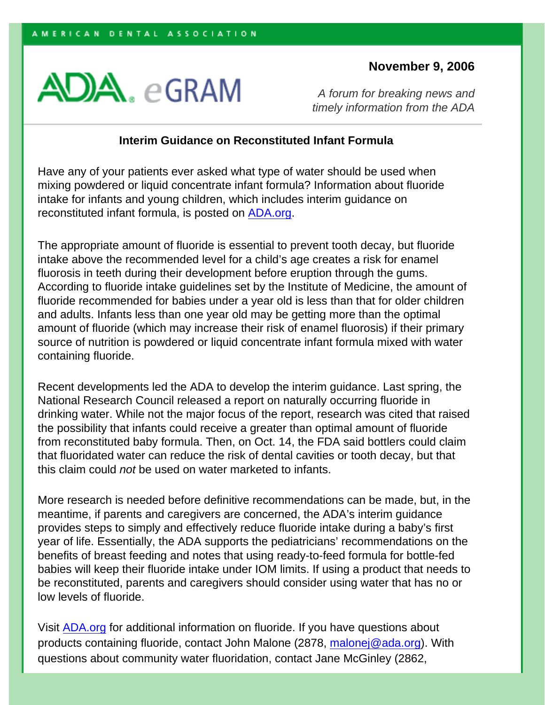## **November 9, 2006**



*A forum for breaking news and timely information from the ADA*

## **Interim Guidance on Reconstituted Infant Formula**

Have any of your patients ever asked what type of water should be used when mixing powdered or liquid concentrate infant formula? Information about fluoride intake for infants and young children, which includes interim guidance on reconstituted infant formula, is posted on [ADA.org.](http://www.ada.org/prof/resources/positions/statements/fluoride_infants.asp?id=egram_061109)

The appropriate amount of fluoride is essential to prevent tooth decay, but fluoride intake above the recommended level for a child's age creates a risk for enamel fluorosis in teeth during their development before eruption through the gums. According to fluoride intake guidelines set by the Institute of Medicine, the amount of fluoride recommended for babies under a year old is less than that for older children and adults. Infants less than one year old may be getting more than the optimal amount of fluoride (which may increase their risk of enamel fluorosis) if their primary source of nutrition is powdered or liquid concentrate infant formula mixed with water containing fluoride.

Recent developments led the ADA to develop the interim guidance. Last spring, the National Research Council released a report on naturally occurring fluoride in drinking water. While not the major focus of the report, research was cited that raised the possibility that infants could receive a greater than optimal amount of fluoride from reconstituted baby formula. Then, on Oct. 14, the FDA said bottlers could claim that fluoridated water can reduce the risk of dental cavities or tooth decay, but that this claim could *not* be used on water marketed to infants.

More research is needed before definitive recommendations can be made, but, in the meantime, if parents and caregivers are concerned, the ADA's interim guidance provides steps to simply and effectively reduce fluoride intake during a baby's first year of life. Essentially, the ADA supports the pediatricians' recommendations on the benefits of breast feeding and notes that using ready-to-feed formula for bottle-fed babies will keep their fluoride intake under IOM limits. If using a product that needs to be reconstituted, parents and caregivers should consider using water that has no or low levels of fluoride.

Visit [ADA.org](http://www.ada.org/prof/resources/positions/statements/fluoride_infants.asp?id=egram_061109) for additional information on fluoride. If you have questions about products containing fluoride, contact John Malone (2878, [malonej@ada.org\)](mailto:malonej@ada.org). With questions about community water fluoridation, contact Jane McGinley (2862,